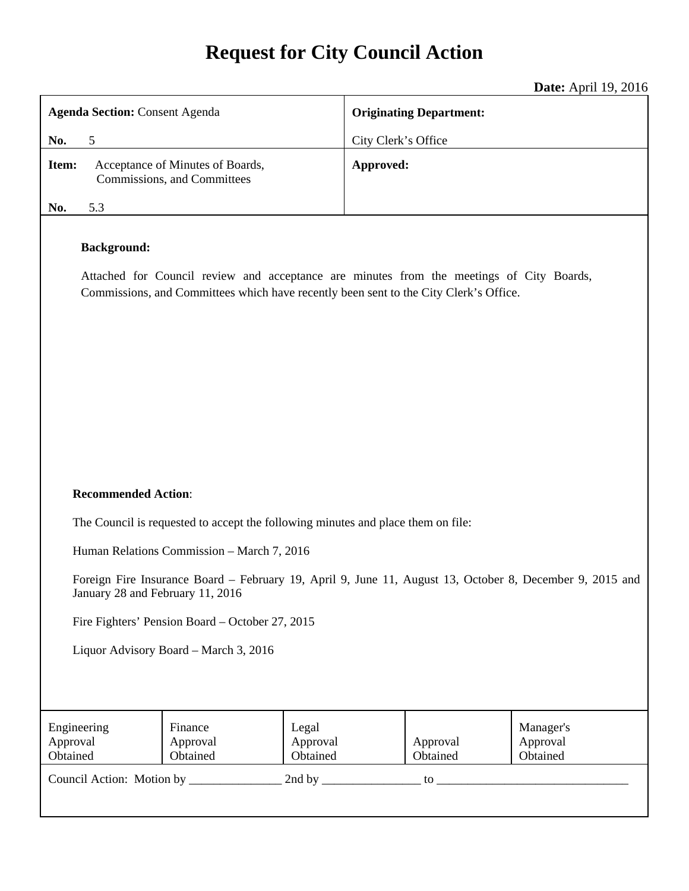# **Request for City Council Action**

 $21, 10, 2016$ 

|                                                                                                                                                                                                         | <b>Date:</b> April 19, 2016    |  |
|---------------------------------------------------------------------------------------------------------------------------------------------------------------------------------------------------------|--------------------------------|--|
| <b>Agenda Section: Consent Agenda</b>                                                                                                                                                                   | <b>Originating Department:</b> |  |
| No.<br>5                                                                                                                                                                                                | City Clerk's Office            |  |
| Acceptance of Minutes of Boards,<br>Item:<br>Commissions, and Committees                                                                                                                                | Approved:                      |  |
| 5.3<br>No.                                                                                                                                                                                              |                                |  |
| <b>Background:</b><br>Attached for Council review and acceptance are minutes from the meetings of City Boards,<br>Commissions, and Committees which have recently been sent to the City Clerk's Office. |                                |  |

### **Recommended Action**:

The Council is requested to accept the following minutes and place them on file:

Human Relations Commission – March 7, 2016

Foreign Fire Insurance Board – February 19, April 9, June 11, August 13, October 8, December 9, 2015 and January 28 and February 11, 2016

Fire Fighters' Pension Board – October 27, 2015

Liquor Advisory Board – March 3, 2016

| Engineering<br>Approval<br>Obtained | Finance<br>Approval<br>Obtained | Legal<br>Approval<br>Obtained | Approval<br>Obtained | Manager's<br>Approval<br>Obtained |
|-------------------------------------|---------------------------------|-------------------------------|----------------------|-----------------------------------|
| Council Action: Motion by           |                                 | 2nd by                        | tΩ                   |                                   |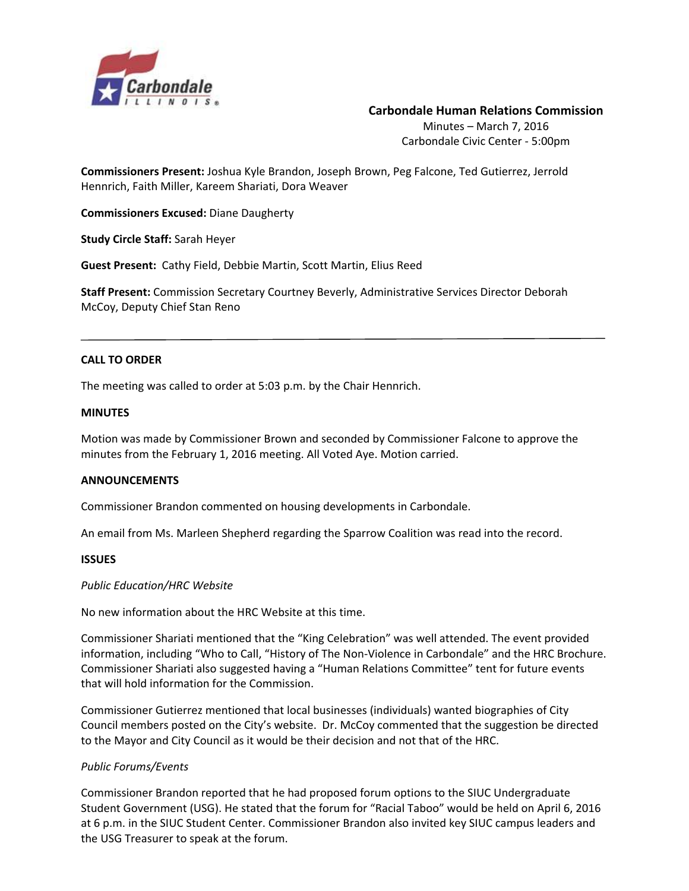

#### **Carbondale Human Relations Commission**

Minutes – March 7, 2016 Carbondale Civic Center ‐ 5:00pm

**Commissioners Present:** Joshua Kyle Brandon, Joseph Brown, Peg Falcone, Ted Gutierrez, Jerrold Hennrich, Faith Miller, Kareem Shariati, Dora Weaver

**Commissioners Excused:** Diane Daugherty

**Study Circle Staff:** Sarah Heyer

**Guest Present:** Cathy Field, Debbie Martin, Scott Martin, Elius Reed 

**Staff Present:** Commission Secretary Courtney Beverly, Administrative Services Director Deborah McCoy, Deputy Chief Stan Reno

#### **CALL TO ORDER**

The meeting was called to order at 5:03 p.m. by the Chair Hennrich.

#### **MINUTES**

Motion was made by Commissioner Brown and seconded by Commissioner Falcone to approve the minutes from the February 1, 2016 meeting. All Voted Aye. Motion carried.

#### **ANNOUNCEMENTS**

Commissioner Brandon commented on housing developments in Carbondale.

An email from Ms. Marleen Shepherd regarding the Sparrow Coalition was read into the record.

#### **ISSUES**

#### *Public Education/HRC Website*

No new information about the HRC Website at this time.

Commissioner Shariati mentioned that the "King Celebration" was well attended. The event provided information, including "Who to Call, "History of The Non‐Violence in Carbondale" and the HRC Brochure. Commissioner Shariati also suggested having a "Human Relations Committee" tent for future events that will hold information for the Commission.

Commissioner Gutierrez mentioned that local businesses (individuals) wanted biographies of City Council members posted on the City's website. Dr. McCoy commented that the suggestion be directed to the Mayor and City Council as it would be their decision and not that of the HRC.

#### *Public Forums/Events*

Commissioner Brandon reported that he had proposed forum options to the SIUC Undergraduate Student Government (USG). He stated that the forum for "Racial Taboo" would be held on April 6, 2016 at 6 p.m. in the SIUC Student Center. Commissioner Brandon also invited key SIUC campus leaders and the USG Treasurer to speak at the forum.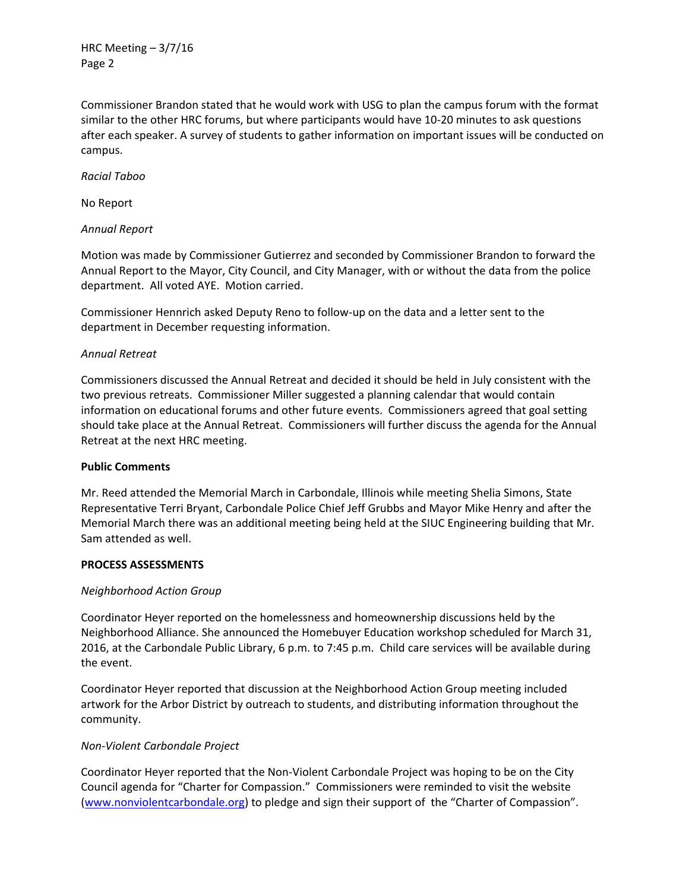HRC Meeting – 3/7/16 Page 2

Commissioner Brandon stated that he would work with USG to plan the campus forum with the format similar to the other HRC forums, but where participants would have 10‐20 minutes to ask questions after each speaker. A survey of students to gather information on important issues will be conducted on campus.

*Racial Taboo*

No Report

#### *Annual Report*

Motion was made by Commissioner Gutierrez and seconded by Commissioner Brandon to forward the Annual Report to the Mayor, City Council, and City Manager, with or without the data from the police department. All voted AYE. Motion carried.

Commissioner Hennrich asked Deputy Reno to follow‐up on the data and a letter sent to the department in December requesting information.

#### *Annual Retreat*

Commissioners discussed the Annual Retreat and decided it should be held in July consistent with the two previous retreats. Commissioner Miller suggested a planning calendar that would contain information on educational forums and other future events. Commissioners agreed that goal setting should take place at the Annual Retreat. Commissioners will further discuss the agenda for the Annual Retreat at the next HRC meeting.

#### **Public Comments**

Mr. Reed attended the Memorial March in Carbondale, Illinois while meeting Shelia Simons, State Representative Terri Bryant, Carbondale Police Chief Jeff Grubbs and Mayor Mike Henry and after the Memorial March there was an additional meeting being held at the SIUC Engineering building that Mr. Sam attended as well.

#### **PROCESS ASSESSMENTS**

#### *Neighborhood Action Group*

Coordinator Heyer reported on the homelessness and homeownership discussions held by the Neighborhood Alliance. She announced the Homebuyer Education workshop scheduled for March 31, 2016, at the Carbondale Public Library, 6 p.m. to 7:45 p.m. Child care services will be available during the event.

Coordinator Heyer reported that discussion at the Neighborhood Action Group meeting included artwork for the Arbor District by outreach to students, and distributing information throughout the community.

#### *Non‐Violent Carbondale Project*

Coordinator Heyer reported that the Non‐Violent Carbondale Project was hoping to be on the City Council agenda for "Charter for Compassion." Commissioners were reminded to visit the website (www.nonviolentcarbondale.org) to pledge and sign their support of the "Charter of Compassion".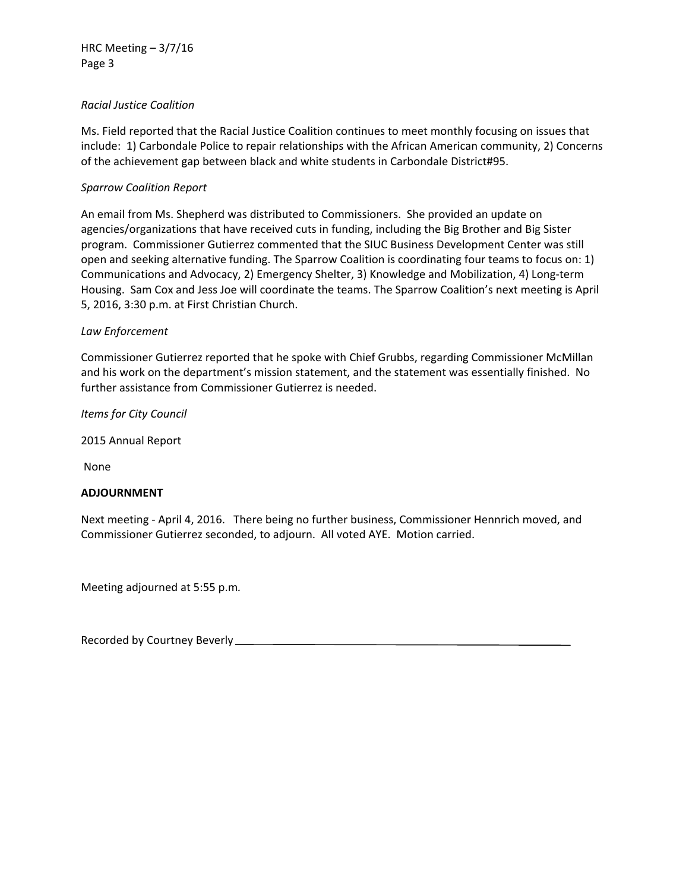#### *Racial Justice Coalition*

Ms. Field reported that the Racial Justice Coalition continues to meet monthly focusing on issues that include: 1) Carbondale Police to repair relationships with the African American community, 2) Concerns of the achievement gap between black and white students in Carbondale District#95.

#### *Sparrow Coalition Report*

An email from Ms. Shepherd was distributed to Commissioners. She provided an update on agencies/organizations that have received cuts in funding, including the Big Brother and Big Sister program. Commissioner Gutierrez commented that the SIUC Business Development Center was still open and seeking alternative funding. The Sparrow Coalition is coordinating four teams to focus on: 1) Communications and Advocacy, 2) Emergency Shelter, 3) Knowledge and Mobilization, 4) Long‐term Housing. Sam Cox and Jess Joe will coordinate the teams. The Sparrow Coalition's next meeting is April 5, 2016, 3:30 p.m. at First Christian Church.

#### *Law Enforcement*

Commissioner Gutierrez reported that he spoke with Chief Grubbs, regarding Commissioner McMillan and his work on the department's mission statement, and the statement was essentially finished. No further assistance from Commissioner Gutierrez is needed.

*Items for City Council*

2015 Annual Report

None

#### **ADJOURNMENT**

Next meeting ‐ April 4, 2016. There being no further business, Commissioner Hennrich moved, and Commissioner Gutierrez seconded, to adjourn. All voted AYE. Motion carried.

Meeting adjourned at 5:55 p.m*.*

Recorded by Courtney Beverly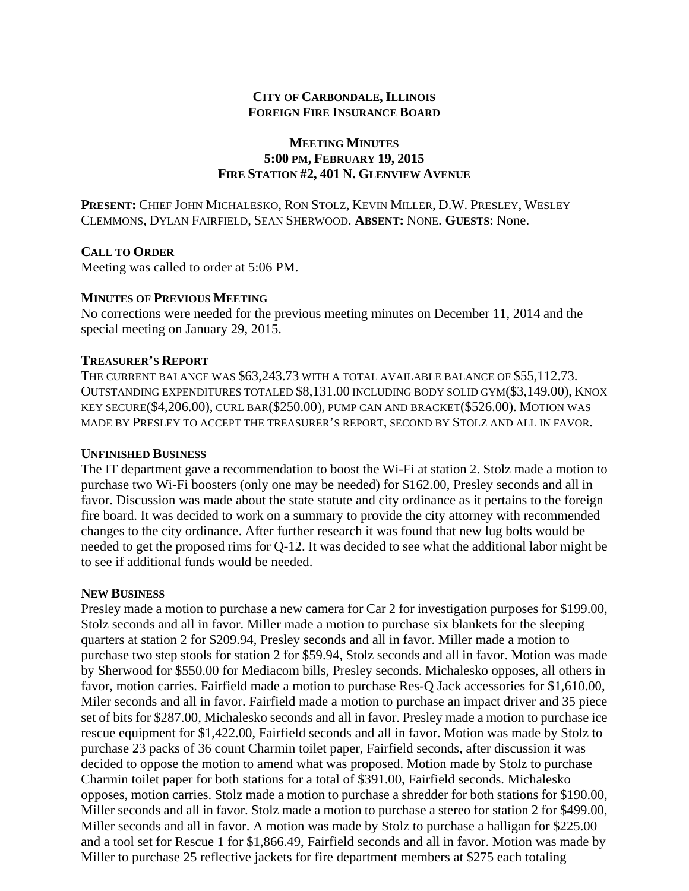# **MEETING MINUTES 5:00 PM, FEBRUARY 19, 2015 FIRE STATION #2, 401 N. GLENVIEW AVENUE**

**PRESENT:** CHIEF JOHN MICHALESKO, RON STOLZ, KEVIN MILLER, D.W. PRESLEY, WESLEY CLEMMONS, DYLAN FAIRFIELD, SEAN SHERWOOD. **ABSENT:** NONE. **GUESTS**: None.

# **CALL TO ORDER**

Meeting was called to order at 5:06 PM.

# **MINUTES OF PREVIOUS MEETING**

No corrections were needed for the previous meeting minutes on December 11, 2014 and the special meeting on January 29, 2015.

# **TREASURER'S REPORT**

THE CURRENT BALANCE WAS \$63,243.73 WITH A TOTAL AVAILABLE BALANCE OF \$55,112.73. OUTSTANDING EXPENDITURES TOTALED \$8,131.00 INCLUDING BODY SOLID GYM(\$3,149.00), KNOX KEY SECURE(\$4,206.00), CURL BAR(\$250.00), PUMP CAN AND BRACKET(\$526.00). MOTION WAS MADE BY PRESLEY TO ACCEPT THE TREASURER'S REPORT, SECOND BY STOLZ AND ALL IN FAVOR.

# **UNFINISHED BUSINESS**

The IT department gave a recommendation to boost the Wi-Fi at station 2. Stolz made a motion to purchase two Wi-Fi boosters (only one may be needed) for \$162.00, Presley seconds and all in favor. Discussion was made about the state statute and city ordinance as it pertains to the foreign fire board. It was decided to work on a summary to provide the city attorney with recommended changes to the city ordinance. After further research it was found that new lug bolts would be needed to get the proposed rims for Q-12. It was decided to see what the additional labor might be to see if additional funds would be needed.

# **NEW BUSINESS**

Presley made a motion to purchase a new camera for Car 2 for investigation purposes for \$199.00, Stolz seconds and all in favor. Miller made a motion to purchase six blankets for the sleeping quarters at station 2 for \$209.94, Presley seconds and all in favor. Miller made a motion to purchase two step stools for station 2 for \$59.94, Stolz seconds and all in favor. Motion was made by Sherwood for \$550.00 for Mediacom bills, Presley seconds. Michalesko opposes, all others in favor, motion carries. Fairfield made a motion to purchase Res-Q Jack accessories for \$1,610.00, Miler seconds and all in favor. Fairfield made a motion to purchase an impact driver and 35 piece set of bits for \$287.00, Michalesko seconds and all in favor. Presley made a motion to purchase ice rescue equipment for \$1,422.00, Fairfield seconds and all in favor. Motion was made by Stolz to purchase 23 packs of 36 count Charmin toilet paper, Fairfield seconds, after discussion it was decided to oppose the motion to amend what was proposed. Motion made by Stolz to purchase Charmin toilet paper for both stations for a total of \$391.00, Fairfield seconds. Michalesko opposes, motion carries. Stolz made a motion to purchase a shredder for both stations for \$190.00, Miller seconds and all in favor. Stolz made a motion to purchase a stereo for station 2 for \$499.00, Miller seconds and all in favor. A motion was made by Stolz to purchase a halligan for \$225.00 and a tool set for Rescue 1 for \$1,866.49, Fairfield seconds and all in favor. Motion was made by Miller to purchase 25 reflective jackets for fire department members at \$275 each totaling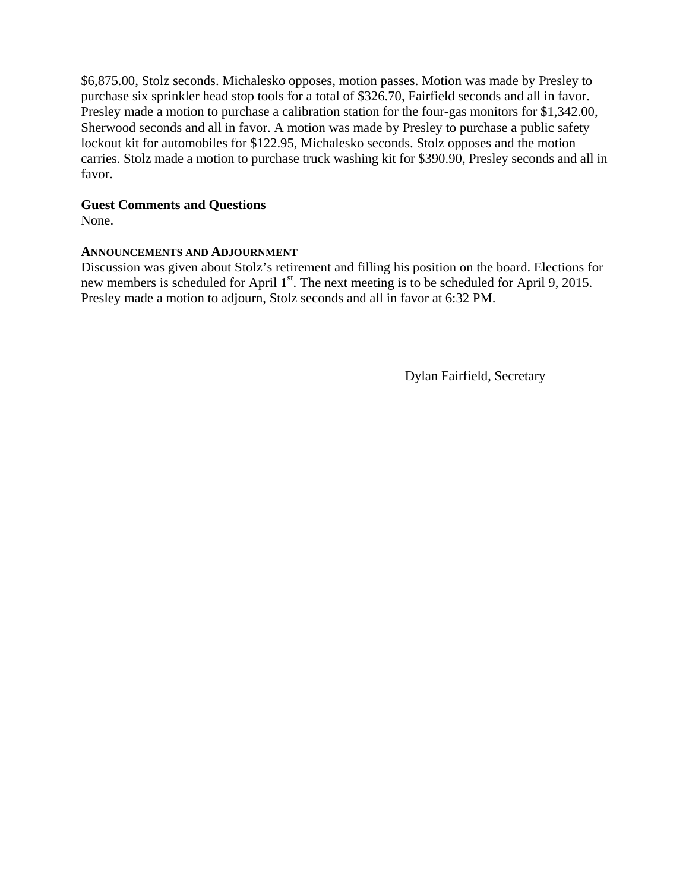\$6,875.00, Stolz seconds. Michalesko opposes, motion passes. Motion was made by Presley to purchase six sprinkler head stop tools for a total of \$326.70, Fairfield seconds and all in favor. Presley made a motion to purchase a calibration station for the four-gas monitors for \$1,342.00, Sherwood seconds and all in favor. A motion was made by Presley to purchase a public safety lockout kit for automobiles for \$122.95, Michalesko seconds. Stolz opposes and the motion carries. Stolz made a motion to purchase truck washing kit for \$390.90, Presley seconds and all in favor.

# **Guest Comments and Questions**

None.

# **ANNOUNCEMENTS AND ADJOURNMENT**

Discussion was given about Stolz's retirement and filling his position on the board. Elections for new members is scheduled for April 1<sup>st</sup>. The next meeting is to be scheduled for April 9, 2015. Presley made a motion to adjourn, Stolz seconds and all in favor at 6:32 PM.

Dylan Fairfield, Secretary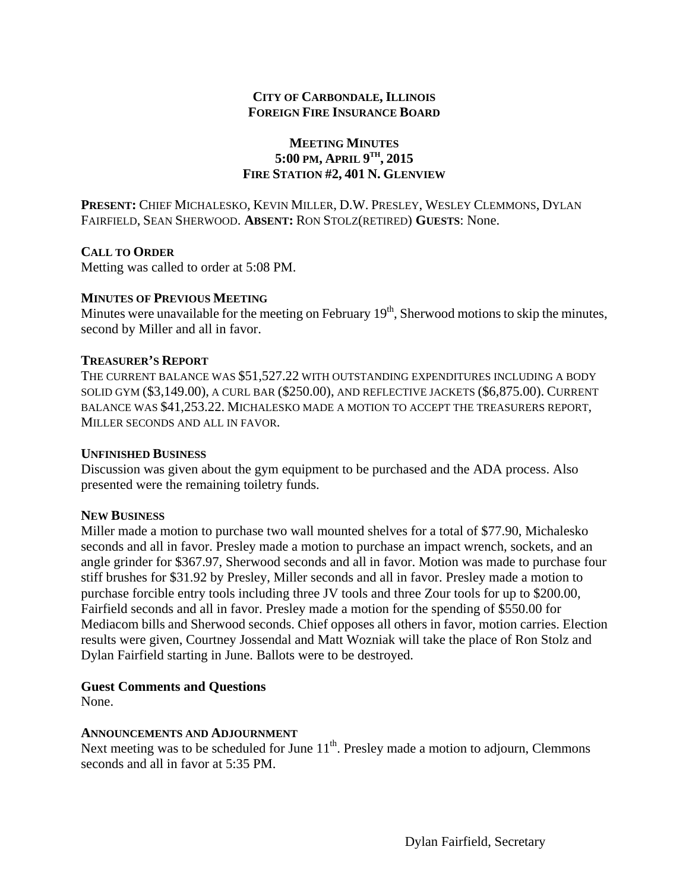# **MEETING MINUTES 5:00 PM, APRIL 9TH, 2015 FIRE STATION #2, 401 N. GLENVIEW**

**PRESENT:** CHIEF MICHALESKO, KEVIN MILLER, D.W. PRESLEY, WESLEY CLEMMONS, DYLAN FAIRFIELD, SEAN SHERWOOD. **ABSENT:** RON STOLZ(RETIRED) **GUESTS**: None.

# **CALL TO ORDER**

Metting was called to order at 5:08 PM.

# **MINUTES OF PREVIOUS MEETING**

Minutes were unavailable for the meeting on February  $19<sup>th</sup>$ , Sherwood motions to skip the minutes, second by Miller and all in favor.

# **TREASURER'S REPORT**

THE CURRENT BALANCE WAS \$51,527.22 WITH OUTSTANDING EXPENDITURES INCLUDING A BODY SOLID GYM (\$3,149.00), A CURL BAR (\$250.00), AND REFLECTIVE JACKETS (\$6,875.00). CURRENT BALANCE WAS \$41,253.22. MICHALESKO MADE A MOTION TO ACCEPT THE TREASURERS REPORT, MILLER SECONDS AND ALL IN FAVOR.

# **UNFINISHED BUSINESS**

Discussion was given about the gym equipment to be purchased and the ADA process. Also presented were the remaining toiletry funds.

# **NEW BUSINESS**

Miller made a motion to purchase two wall mounted shelves for a total of \$77.90, Michalesko seconds and all in favor. Presley made a motion to purchase an impact wrench, sockets, and an angle grinder for \$367.97, Sherwood seconds and all in favor. Motion was made to purchase four stiff brushes for \$31.92 by Presley, Miller seconds and all in favor. Presley made a motion to purchase forcible entry tools including three JV tools and three Zour tools for up to \$200.00, Fairfield seconds and all in favor. Presley made a motion for the spending of \$550.00 for Mediacom bills and Sherwood seconds. Chief opposes all others in favor, motion carries. Election results were given, Courtney Jossendal and Matt Wozniak will take the place of Ron Stolz and Dylan Fairfield starting in June. Ballots were to be destroyed.

# **Guest Comments and Questions**

None.

# **ANNOUNCEMENTS AND ADJOURNMENT**

Next meeting was to be scheduled for June  $11<sup>th</sup>$ . Presley made a motion to adjourn, Clemmons seconds and all in favor at 5:35 PM.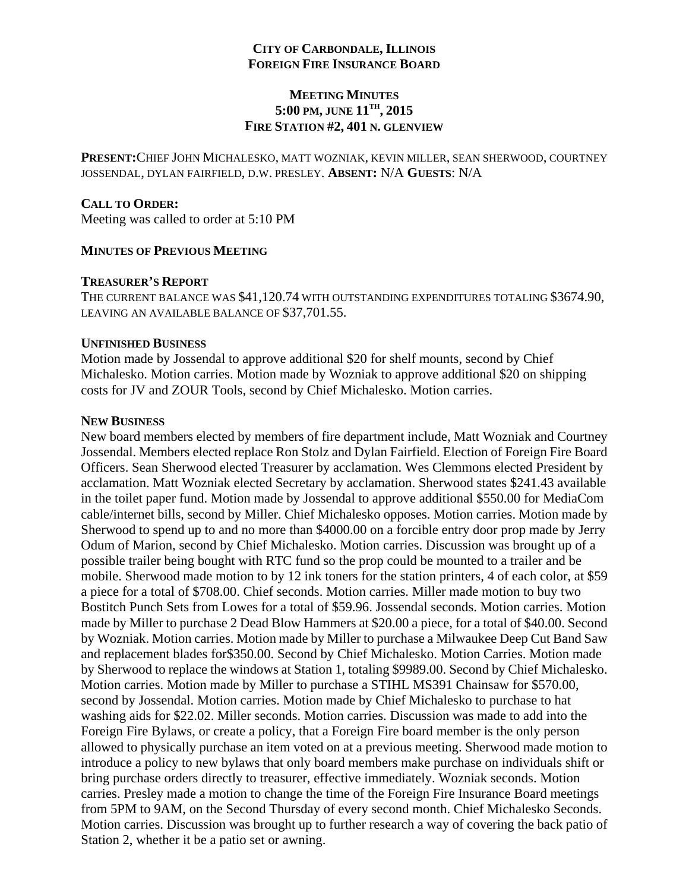# **MEETING MINUTES 5:00 PM, JUNE 11TH, 2015 FIRE STATION #2, 401 N. GLENVIEW**

**PRESENT:**CHIEF JOHN MICHALESKO, MATT WOZNIAK, KEVIN MILLER, SEAN SHERWOOD, COURTNEY JOSSENDAL, DYLAN FAIRFIELD, D.W. PRESLEY. **ABSENT:** N/A **GUESTS**: N/A

### **CALL TO ORDER:**

Meeting was called to order at 5:10 PM

#### **MINUTES OF PREVIOUS MEETING**

#### **TREASURER'S REPORT**

THE CURRENT BALANCE WAS \$41,120.74 WITH OUTSTANDING EXPENDITURES TOTALING \$3674.90, LEAVING AN AVAILABLE BALANCE OF \$37,701.55.

#### **UNFINISHED BUSINESS**

Motion made by Jossendal to approve additional \$20 for shelf mounts, second by Chief Michalesko. Motion carries. Motion made by Wozniak to approve additional \$20 on shipping costs for JV and ZOUR Tools, second by Chief Michalesko. Motion carries.

### **NEW BUSINESS**

New board members elected by members of fire department include, Matt Wozniak and Courtney Jossendal. Members elected replace Ron Stolz and Dylan Fairfield. Election of Foreign Fire Board Officers. Sean Sherwood elected Treasurer by acclamation. Wes Clemmons elected President by acclamation. Matt Wozniak elected Secretary by acclamation. Sherwood states \$241.43 available in the toilet paper fund. Motion made by Jossendal to approve additional \$550.00 for MediaCom cable/internet bills, second by Miller. Chief Michalesko opposes. Motion carries. Motion made by Sherwood to spend up to and no more than \$4000.00 on a forcible entry door prop made by Jerry Odum of Marion, second by Chief Michalesko. Motion carries. Discussion was brought up of a possible trailer being bought with RTC fund so the prop could be mounted to a trailer and be mobile. Sherwood made motion to by 12 ink toners for the station printers, 4 of each color, at \$59 a piece for a total of \$708.00. Chief seconds. Motion carries. Miller made motion to buy two Bostitch Punch Sets from Lowes for a total of \$59.96. Jossendal seconds. Motion carries. Motion made by Miller to purchase 2 Dead Blow Hammers at \$20.00 a piece, for a total of \$40.00. Second by Wozniak. Motion carries. Motion made by Miller to purchase a Milwaukee Deep Cut Band Saw and replacement blades for\$350.00. Second by Chief Michalesko. Motion Carries. Motion made by Sherwood to replace the windows at Station 1, totaling \$9989.00. Second by Chief Michalesko. Motion carries. Motion made by Miller to purchase a STIHL MS391 Chainsaw for \$570.00, second by Jossendal. Motion carries. Motion made by Chief Michalesko to purchase to hat washing aids for \$22.02. Miller seconds. Motion carries. Discussion was made to add into the Foreign Fire Bylaws, or create a policy, that a Foreign Fire board member is the only person allowed to physically purchase an item voted on at a previous meeting. Sherwood made motion to introduce a policy to new bylaws that only board members make purchase on individuals shift or bring purchase orders directly to treasurer, effective immediately. Wozniak seconds. Motion carries. Presley made a motion to change the time of the Foreign Fire Insurance Board meetings from 5PM to 9AM, on the Second Thursday of every second month. Chief Michalesko Seconds. Motion carries. Discussion was brought up to further research a way of covering the back patio of Station 2, whether it be a patio set or awning.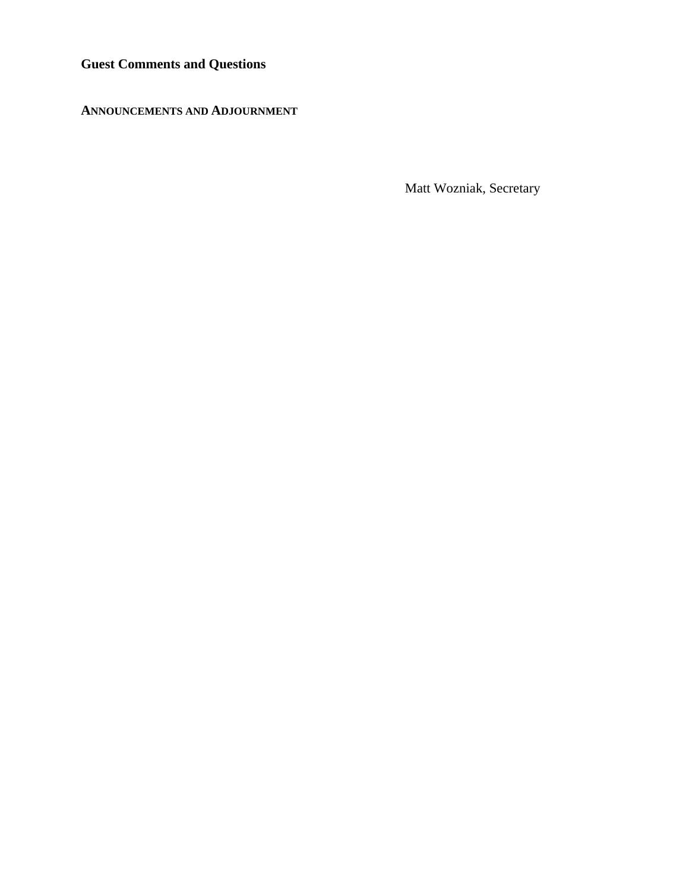**Guest Comments and Questions** 

**ANNOUNCEMENTS AND ADJOURNMENT** 

Matt Wozniak, Secretary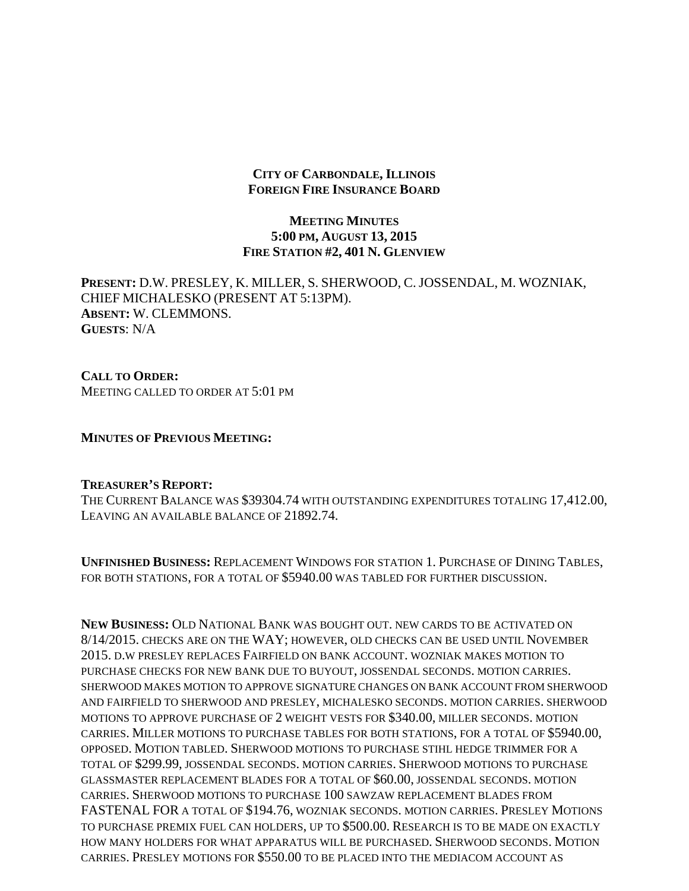# **MEETING MINUTES 5:00 PM, AUGUST 13, 2015 FIRE STATION #2, 401 N. GLENVIEW**

**PRESENT:** D.W. PRESLEY, K. MILLER, S. SHERWOOD, C. JOSSENDAL, M. WOZNIAK, CHIEF MICHALESKO (PRESENT AT 5:13PM). **ABSENT:** W. CLEMMONS. **GUESTS**: N/A

**CALL TO ORDER:**  MEETING CALLED TO ORDER AT 5:01 PM

**MINUTES OF PREVIOUS MEETING:**

#### **TREASURER'S REPORT:**

THE CURRENT BALANCE WAS \$39304.74 WITH OUTSTANDING EXPENDITURES TOTALING 17,412.00, LEAVING AN AVAILABLE BALANCE OF 21892.74.

**UNFINISHED BUSINESS:** REPLACEMENT WINDOWS FOR STATION 1. PURCHASE OF DINING TABLES, FOR BOTH STATIONS, FOR A TOTAL OF \$5940.00 WAS TABLED FOR FURTHER DISCUSSION.

**NEW BUSINESS:** OLD NATIONAL BANK WAS BOUGHT OUT. NEW CARDS TO BE ACTIVATED ON 8/14/2015. CHECKS ARE ON THE WAY; HOWEVER, OLD CHECKS CAN BE USED UNTIL NOVEMBER 2015. D.W PRESLEY REPLACES FAIRFIELD ON BANK ACCOUNT. WOZNIAK MAKES MOTION TO PURCHASE CHECKS FOR NEW BANK DUE TO BUYOUT, JOSSENDAL SECONDS. MOTION CARRIES. SHERWOOD MAKES MOTION TO APPROVE SIGNATURE CHANGES ON BANK ACCOUNT FROM SHERWOOD AND FAIRFIELD TO SHERWOOD AND PRESLEY, MICHALESKO SECONDS. MOTION CARRIES. SHERWOOD MOTIONS TO APPROVE PURCHASE OF 2 WEIGHT VESTS FOR \$340.00, MILLER SECONDS. MOTION CARRIES. MILLER MOTIONS TO PURCHASE TABLES FOR BOTH STATIONS, FOR A TOTAL OF \$5940.00, OPPOSED. MOTION TABLED. SHERWOOD MOTIONS TO PURCHASE STIHL HEDGE TRIMMER FOR A TOTAL OF \$299.99, JOSSENDAL SECONDS. MOTION CARRIES. SHERWOOD MOTIONS TO PURCHASE GLASSMASTER REPLACEMENT BLADES FOR A TOTAL OF \$60.00, JOSSENDAL SECONDS. MOTION CARRIES. SHERWOOD MOTIONS TO PURCHASE 100 SAWZAW REPLACEMENT BLADES FROM FASTENAL FOR A TOTAL OF \$194.76, WOZNIAK SECONDS. MOTION CARRIES. PRESLEY MOTIONS TO PURCHASE PREMIX FUEL CAN HOLDERS, UP TO \$500.00. RESEARCH IS TO BE MADE ON EXACTLY HOW MANY HOLDERS FOR WHAT APPARATUS WILL BE PURCHASED. SHERWOOD SECONDS. MOTION CARRIES. PRESLEY MOTIONS FOR \$550.00 TO BE PLACED INTO THE MEDIACOM ACCOUNT AS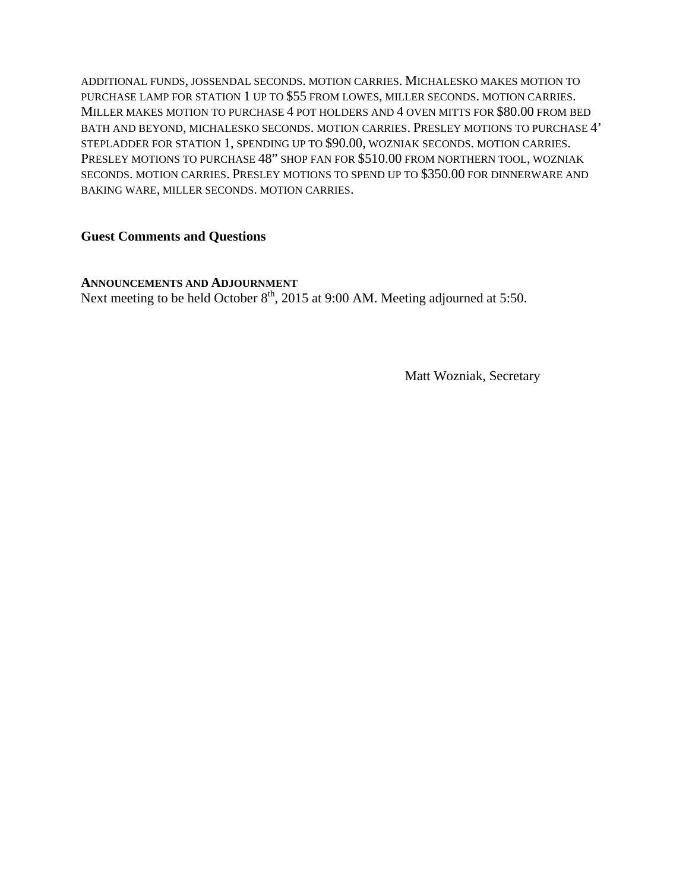ADDITIONAL FUNDS, JOSSENDAL SECONDS. MOTION CARRIES. MICHALESKO MAKES MOTION TO PURCHASE LAMP FOR STATION 1 UP TO \$55 FROM LOWES, MILLER SECONDS. MOTION CARRIES. MILLER MAKES MOTION TO PURCHASE 4 POT HOLDERS AND 4 OVEN MITTS FOR \$80.00 FROM BED BATH AND BEYOND, MICHALESKO SECONDS. MOTION CARRIES. PRESLEY MOTIONS TO PURCHASE 4' STEPLADDER FOR STATION 1, SPENDING UP TO \$90.00, WOZNIAK SECONDS. MOTION CARRIES. PRESLEY MOTIONS TO PURCHASE 48" SHOP FAN FOR \$510.00 FROM NORTHERN TOOL, WOZNIAK SECONDS. MOTION CARRIES. PRESLEY MOTIONS TO SPEND UP TO \$350.00 FOR DINNERWARE AND BAKING WARE, MILLER SECONDS. MOTION CARRIES.

# **Guest Comments and Questions**

**ANNOUNCEMENTS AND ADJOURNMENT**  Next meeting to be held October  $8<sup>th</sup>$ , 2015 at 9:00 AM. Meeting adjourned at 5:50.

Matt Wozniak, Secretary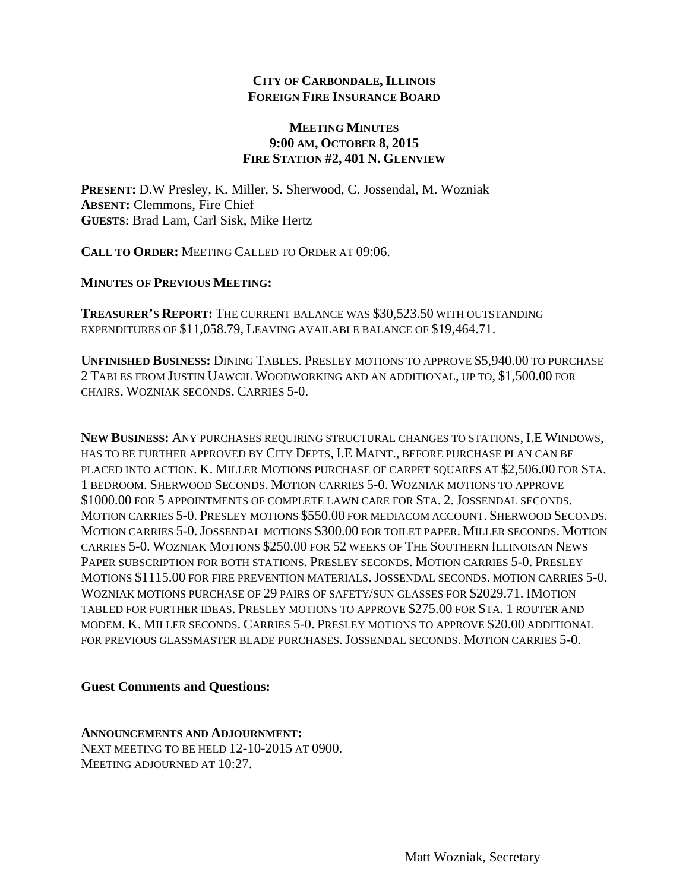# **MEETING MINUTES 9:00 AM, OCTOBER 8, 2015 FIRE STATION #2, 401 N. GLENVIEW**

**PRESENT:** D.W Presley, K. Miller, S. Sherwood, C. Jossendal, M. Wozniak **ABSENT:** Clemmons, Fire Chief **GUESTS**: Brad Lam, Carl Sisk, Mike Hertz

**CALL TO ORDER:** MEETING CALLED TO ORDER AT 09:06.

**MINUTES OF PREVIOUS MEETING:**

**TREASURER'S REPORT:** THE CURRENT BALANCE WAS \$30,523.50 WITH OUTSTANDING EXPENDITURES OF \$11,058.79, LEAVING AVAILABLE BALANCE OF \$19,464.71.

**UNFINISHED BUSINESS:** DINING TABLES. PRESLEY MOTIONS TO APPROVE \$5,940.00 TO PURCHASE 2 TABLES FROM JUSTIN UAWCIL WOODWORKING AND AN ADDITIONAL, UP TO, \$1,500.00 FOR CHAIRS. WOZNIAK SECONDS. CARRIES 5-0.

**NEW BUSINESS:** ANY PURCHASES REQUIRING STRUCTURAL CHANGES TO STATIONS, I.E WINDOWS, HAS TO BE FURTHER APPROVED BY CITY DEPTS, I.E MAINT., BEFORE PURCHASE PLAN CAN BE PLACED INTO ACTION. K. MILLER MOTIONS PURCHASE OF CARPET SQUARES AT \$2,506.00 FOR STA. 1 BEDROOM. SHERWOOD SECONDS. MOTION CARRIES 5-0. WOZNIAK MOTIONS TO APPROVE \$1000.00 FOR 5 APPOINTMENTS OF COMPLETE LAWN CARE FOR STA. 2. JOSSENDAL SECONDS. MOTION CARRIES 5-0. PRESLEY MOTIONS \$550.00 FOR MEDIACOM ACCOUNT. SHERWOOD SECONDS. MOTION CARRIES 5-0.JOSSENDAL MOTIONS \$300.00 FOR TOILET PAPER. MILLER SECONDS. MOTION CARRIES 5-0. WOZNIAK MOTIONS \$250.00 FOR 52 WEEKS OF THE SOUTHERN ILLINOISAN NEWS PAPER SUBSCRIPTION FOR BOTH STATIONS. PRESLEY SECONDS. MOTION CARRIES 5-0. PRESLEY MOTIONS \$1115.00 FOR FIRE PREVENTION MATERIALS. JOSSENDAL SECONDS. MOTION CARRIES 5-0. WOZNIAK MOTIONS PURCHASE OF 29 PAIRS OF SAFETY/SUN GLASSES FOR \$2029.71. IMOTION TABLED FOR FURTHER IDEAS. PRESLEY MOTIONS TO APPROVE \$275.00 FOR STA. 1 ROUTER AND MODEM. K. MILLER SECONDS. CARRIES 5-0. PRESLEY MOTIONS TO APPROVE \$20.00 ADDITIONAL FOR PREVIOUS GLASSMASTER BLADE PURCHASES. JOSSENDAL SECONDS. MOTION CARRIES 5-0.

# **Guest Comments and Questions:**

**ANNOUNCEMENTS AND ADJOURNMENT:**  NEXT MEETING TO BE HELD 12-10-2015 AT 0900. MEETING ADJOURNED AT 10:27.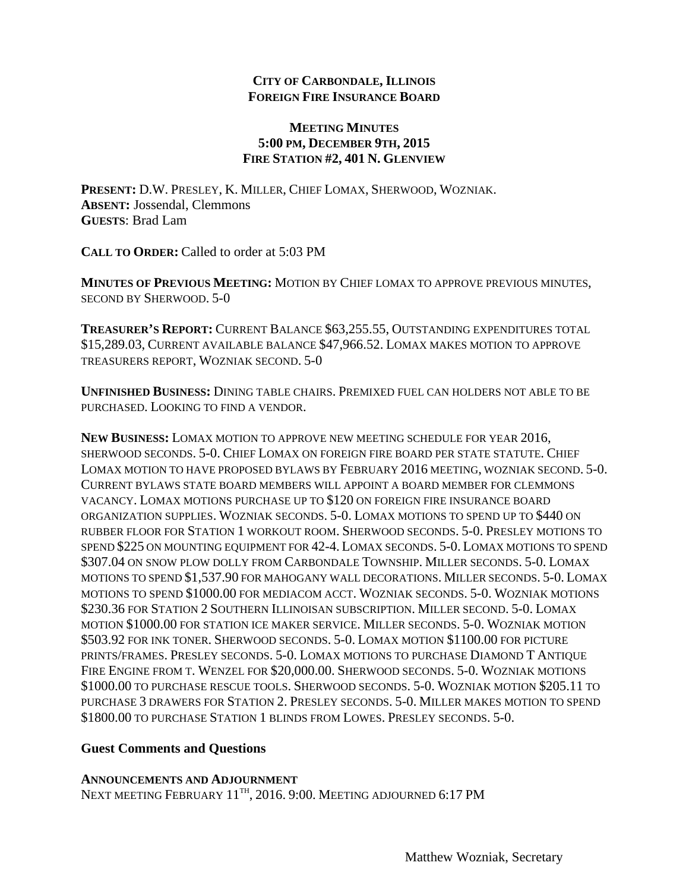# **MEETING MINUTES 5:00 PM, DECEMBER 9TH, 2015 FIRE STATION #2, 401 N. GLENVIEW**

**PRESENT:** D.W. PRESLEY, K. MILLER, CHIEF LOMAX, SHERWOOD, WOZNIAK. **ABSENT:** Jossendal, Clemmons **GUESTS**: Brad Lam

**CALL TO ORDER:** Called to order at 5:03 PM

**MINUTES OF PREVIOUS MEETING:** MOTION BY CHIEF LOMAX TO APPROVE PREVIOUS MINUTES, SECOND BY SHERWOOD. 5-0

**TREASURER'S REPORT:** CURRENT BALANCE \$63,255.55, OUTSTANDING EXPENDITURES TOTAL \$15,289.03, CURRENT AVAILABLE BALANCE \$47,966.52. LOMAX MAKES MOTION TO APPROVE TREASURERS REPORT, WOZNIAK SECOND. 5-0

**UNFINISHED BUSINESS:** DINING TABLE CHAIRS. PREMIXED FUEL CAN HOLDERS NOT ABLE TO BE PURCHASED. LOOKING TO FIND A VENDOR.

**NEW BUSINESS:** LOMAX MOTION TO APPROVE NEW MEETING SCHEDULE FOR YEAR 2016, SHERWOOD SECONDS. 5-0. CHIEF LOMAX ON FOREIGN FIRE BOARD PER STATE STATUTE. CHIEF LOMAX MOTION TO HAVE PROPOSED BYLAWS BY FEBRUARY 2016 MEETING, WOZNIAK SECOND. 5-0. CURRENT BYLAWS STATE BOARD MEMBERS WILL APPOINT A BOARD MEMBER FOR CLEMMONS VACANCY. LOMAX MOTIONS PURCHASE UP TO \$120 ON FOREIGN FIRE INSURANCE BOARD ORGANIZATION SUPPLIES. WOZNIAK SECONDS. 5-0. LOMAX MOTIONS TO SPEND UP TO \$440 ON RUBBER FLOOR FOR STATION 1 WORKOUT ROOM. SHERWOOD SECONDS. 5-0. PRESLEY MOTIONS TO SPEND \$225 ON MOUNTING EQUIPMENT FOR 42-4. LOMAX SECONDS. 5-0. LOMAX MOTIONS TO SPEND \$307.04 ON SNOW PLOW DOLLY FROM CARBONDALE TOWNSHIP. MILLER SECONDS. 5-0. LOMAX MOTIONS TO SPEND \$1,537.90 FOR MAHOGANY WALL DECORATIONS. MILLER SECONDS. 5-0. LOMAX MOTIONS TO SPEND \$1000.00 FOR MEDIACOM ACCT. WOZNIAK SECONDS. 5-0. WOZNIAK MOTIONS \$230.36 FOR STATION 2 SOUTHERN ILLINOISAN SUBSCRIPTION. MILLER SECOND. 5-0. LOMAX MOTION \$1000.00 FOR STATION ICE MAKER SERVICE. MILLER SECONDS. 5-0. WOZNIAK MOTION \$503.92 FOR INK TONER. SHERWOOD SECONDS. 5-0. LOMAX MOTION \$1100.00 FOR PICTURE PRINTS/FRAMES. PRESLEY SECONDS. 5-0. LOMAX MOTIONS TO PURCHASE DIAMOND T ANTIQUE FIRE ENGINE FROM T. WENZEL FOR \$20,000.00. SHERWOOD SECONDS. 5-0. WOZNIAK MOTIONS \$1000.00 TO PURCHASE RESCUE TOOLS. SHERWOOD SECONDS. 5-0. WOZNIAK MOTION \$205.11 TO PURCHASE 3 DRAWERS FOR STATION 2. PRESLEY SECONDS. 5-0. MILLER MAKES MOTION TO SPEND \$1800.00 TO PURCHASE STATION 1 BLINDS FROM LOWES. PRESLEY SECONDS. 5-0.

# **Guest Comments and Questions**

# **ANNOUNCEMENTS AND ADJOURNMENT**

NEXT MEETING FEBRUARY  $11^{TH}$ , 2016. 9:00. MEETING ADJOURNED 6:17 PM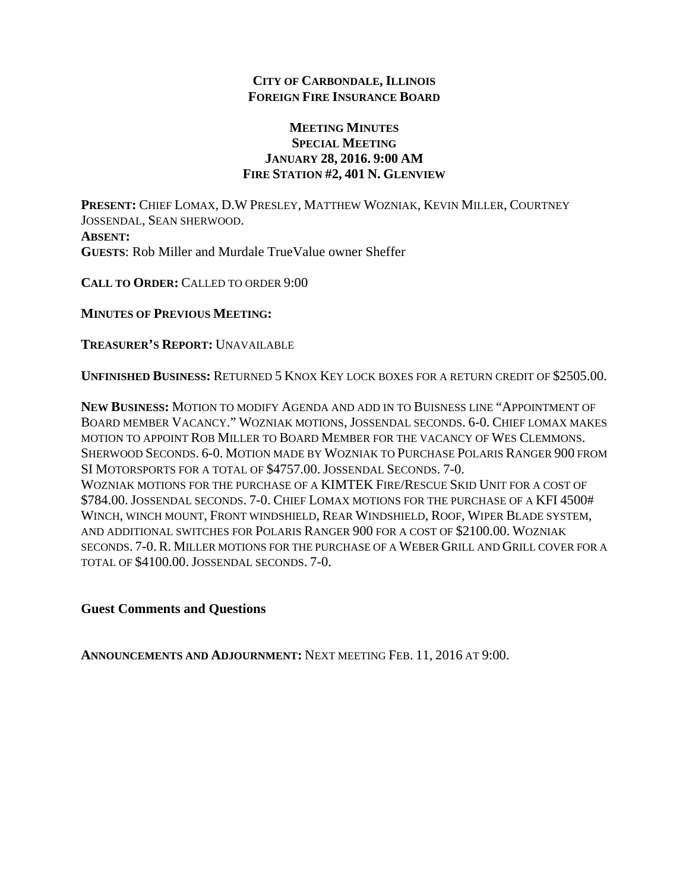# **MEETING MINUTES SPECIAL MEETING JANUARY 28, 2016. 9:00 AM FIRE STATION #2, 401 N. GLENVIEW**

**PRESENT:** CHIEF LOMAX, D.W PRESLEY, MATTHEW WOZNIAK, KEVIN MILLER, COURTNEY JOSSENDAL, SEAN SHERWOOD. **ABSENT: GUESTS**: Rob Miller and Murdale TrueValue owner Sheffer

**CALL TO ORDER:** CALLED TO ORDER 9:00

**MINUTES OF PREVIOUS MEETING:**

**TREASURER'S REPORT:** UNAVAILABLE

**UNFINISHED BUSINESS:** RETURNED 5 KNOX KEY LOCK BOXES FOR A RETURN CREDIT OF \$2505.00.

**NEW BUSINESS:** MOTION TO MODIFY AGENDA AND ADD IN TO BUISNESS LINE "APPOINTMENT OF BOARD MEMBER VACANCY." WOZNIAK MOTIONS, JOSSENDAL SECONDS. 6-0. CHIEF LOMAX MAKES MOTION TO APPOINT ROB MILLER TO BOARD MEMBER FOR THE VACANCY OF WES CLEMMONS. SHERWOOD SECONDS. 6-0. MOTION MADE BY WOZNIAK TO PURCHASE POLARIS RANGER 900 FROM SI MOTORSPORTS FOR A TOTAL OF \$4757.00. JOSSENDAL SECONDS. 7-0. WOZNIAK MOTIONS FOR THE PURCHASE OF A KIMTEK FIRE/RESCUE SKID UNIT FOR A COST OF \$784.00. JOSSENDAL SECONDS. 7-0. CHIEF LOMAX MOTIONS FOR THE PURCHASE OF A KFI 4500# WINCH, WINCH MOUNT, FRONT WINDSHIELD, REAR WINDSHIELD, ROOF, WIPER BLADE SYSTEM, AND ADDITIONAL SWITCHES FOR POLARIS RANGER 900 FOR A COST OF \$2100.00. WOZNIAK SECONDS. 7-0. R. MILLER MOTIONS FOR THE PURCHASE OF A WEBER GRILL AND GRILL COVER FOR A TOTAL OF \$4100.00. JOSSENDAL SECONDS. 7-0.

# **Guest Comments and Questions**

**ANNOUNCEMENTS AND ADJOURNMENT:** NEXT MEETING FEB. 11, 2016 AT 9:00.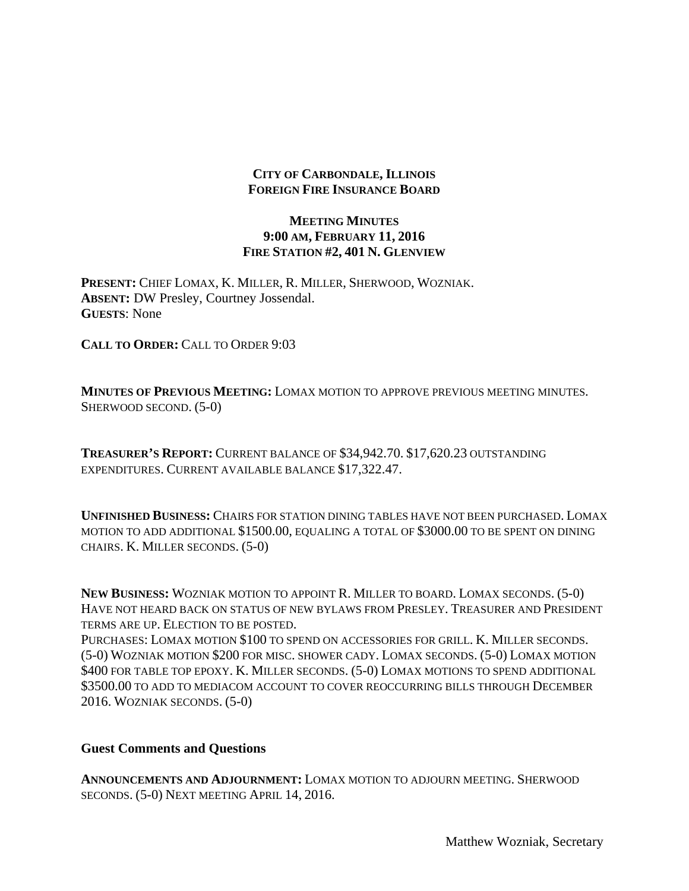# **MEETING MINUTES 9:00 AM, FEBRUARY 11, 2016 FIRE STATION #2, 401 N. GLENVIEW**

**PRESENT:** CHIEF LOMAX, K. MILLER, R. MILLER, SHERWOOD, WOZNIAK. **ABSENT:** DW Presley, Courtney Jossendal. **GUESTS**: None

**CALL TO ORDER:** CALL TO ORDER 9:03

**MINUTES OF PREVIOUS MEETING:** LOMAX MOTION TO APPROVE PREVIOUS MEETING MINUTES. SHERWOOD SECOND. (5-0)

**TREASURER'S REPORT:** CURRENT BALANCE OF \$34,942.70. \$17,620.23 OUTSTANDING EXPENDITURES. CURRENT AVAILABLE BALANCE \$17,322.47.

**UNFINISHED BUSINESS:** CHAIRS FOR STATION DINING TABLES HAVE NOT BEEN PURCHASED. LOMAX MOTION TO ADD ADDITIONAL \$1500.00, EQUALING A TOTAL OF \$3000.00 TO BE SPENT ON DINING CHAIRS. K. MILLER SECONDS. (5-0)

**NEW BUSINESS:** WOZNIAK MOTION TO APPOINT R. MILLER TO BOARD. LOMAX SECONDS. (5-0) HAVE NOT HEARD BACK ON STATUS OF NEW BYLAWS FROM PRESLEY. TREASURER AND PRESIDENT TERMS ARE UP. ELECTION TO BE POSTED.

PURCHASES: LOMAX MOTION \$100 TO SPEND ON ACCESSORIES FOR GRILL. K. MILLER SECONDS. (5-0) WOZNIAK MOTION \$200 FOR MISC. SHOWER CADY. LOMAX SECONDS. (5-0) LOMAX MOTION \$400 FOR TABLE TOP EPOXY. K. MILLER SECONDS. (5-0) LOMAX MOTIONS TO SPEND ADDITIONAL \$3500.00 TO ADD TO MEDIACOM ACCOUNT TO COVER REOCCURRING BILLS THROUGH DECEMBER 2016. WOZNIAK SECONDS. (5-0)

# **Guest Comments and Questions**

**ANNOUNCEMENTS AND ADJOURNMENT:** LOMAX MOTION TO ADJOURN MEETING. SHERWOOD SECONDS. (5-0) NEXT MEETING APRIL 14, 2016.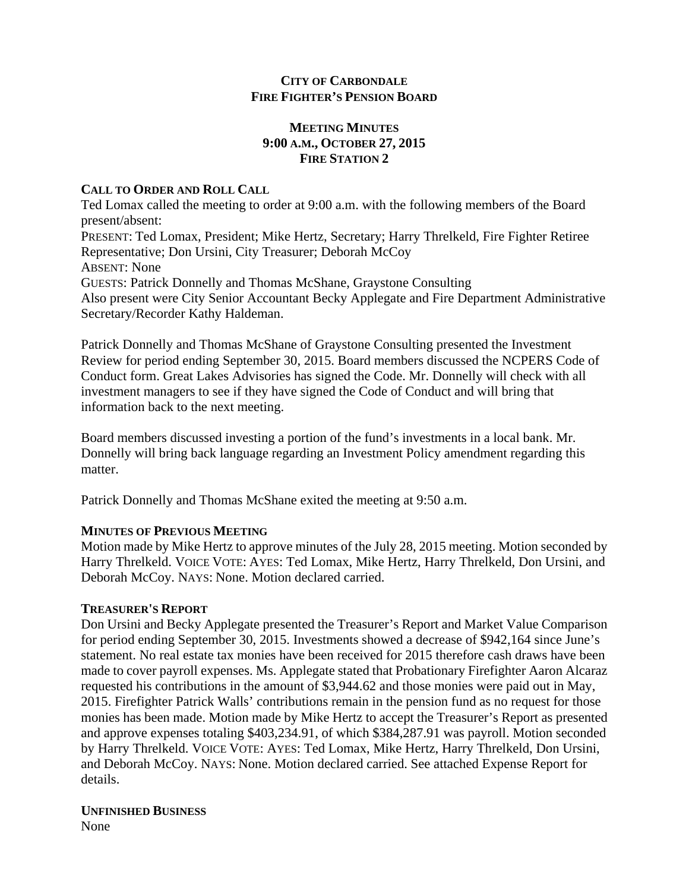# **CITY OF CARBONDALE FIRE FIGHTER'S PENSION BOARD**

# **MEETING MINUTES 9:00 A.M., OCTOBER 27, 2015 FIRE STATION 2**

# **CALL TO ORDER AND ROLL CALL**

Ted Lomax called the meeting to order at 9:00 a.m. with the following members of the Board present/absent: PRESENT: Ted Lomax, President; Mike Hertz, Secretary; Harry Threlkeld, Fire Fighter Retiree Representative; Don Ursini, City Treasurer; Deborah McCoy ABSENT: None GUESTS: Patrick Donnelly and Thomas McShane, Graystone Consulting Also present were City Senior Accountant Becky Applegate and Fire Department Administrative Secretary/Recorder Kathy Haldeman.

Patrick Donnelly and Thomas McShane of Graystone Consulting presented the Investment Review for period ending September 30, 2015. Board members discussed the NCPERS Code of Conduct form. Great Lakes Advisories has signed the Code. Mr. Donnelly will check with all investment managers to see if they have signed the Code of Conduct and will bring that information back to the next meeting.

Board members discussed investing a portion of the fund's investments in a local bank. Mr. Donnelly will bring back language regarding an Investment Policy amendment regarding this matter.

Patrick Donnelly and Thomas McShane exited the meeting at 9:50 a.m.

# **MINUTES OF PREVIOUS MEETING**

Motion made by Mike Hertz to approve minutes of the July 28, 2015 meeting. Motion seconded by Harry Threlkeld. VOICE VOTE: AYES: Ted Lomax, Mike Hertz, Harry Threlkeld, Don Ursini, and Deborah McCoy. NAYS: None. Motion declared carried.

# **TREASURER'S REPORT**

Don Ursini and Becky Applegate presented the Treasurer's Report and Market Value Comparison for period ending September 30, 2015. Investments showed a decrease of \$942,164 since June's statement. No real estate tax monies have been received for 2015 therefore cash draws have been made to cover payroll expenses. Ms. Applegate stated that Probationary Firefighter Aaron Alcaraz requested his contributions in the amount of \$3,944.62 and those monies were paid out in May, 2015. Firefighter Patrick Walls' contributions remain in the pension fund as no request for those monies has been made. Motion made by Mike Hertz to accept the Treasurer's Report as presented and approve expenses totaling \$403,234.91, of which \$384,287.91 was payroll. Motion seconded by Harry Threlkeld. VOICE VOTE: AYES: Ted Lomax, Mike Hertz, Harry Threlkeld, Don Ursini, and Deborah McCoy. NAYS: None. Motion declared carried. See attached Expense Report for details.

### **UNFINISHED BUSINESS** None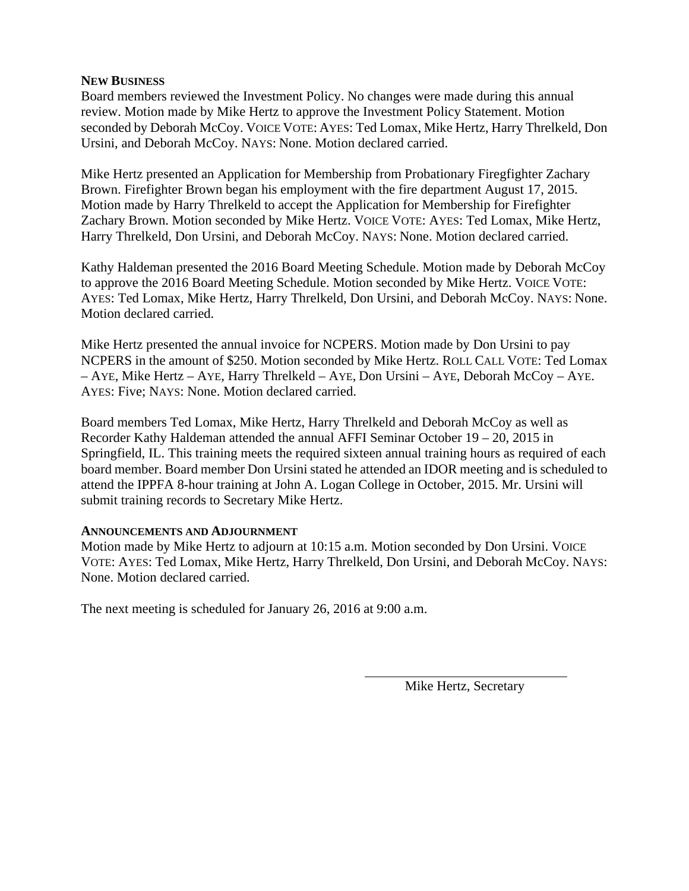# **NEW BUSINESS**

Board members reviewed the Investment Policy. No changes were made during this annual review. Motion made by Mike Hertz to approve the Investment Policy Statement. Motion seconded by Deborah McCoy. VOICE VOTE: AYES: Ted Lomax, Mike Hertz, Harry Threlkeld, Don Ursini, and Deborah McCoy. NAYS: None. Motion declared carried.

Mike Hertz presented an Application for Membership from Probationary Firegfighter Zachary Brown. Firefighter Brown began his employment with the fire department August 17, 2015. Motion made by Harry Threlkeld to accept the Application for Membership for Firefighter Zachary Brown. Motion seconded by Mike Hertz. VOICE VOTE: AYES: Ted Lomax, Mike Hertz, Harry Threlkeld, Don Ursini, and Deborah McCoy. NAYS: None. Motion declared carried.

Kathy Haldeman presented the 2016 Board Meeting Schedule. Motion made by Deborah McCoy to approve the 2016 Board Meeting Schedule. Motion seconded by Mike Hertz. VOICE VOTE: AYES: Ted Lomax, Mike Hertz, Harry Threlkeld, Don Ursini, and Deborah McCoy. NAYS: None. Motion declared carried.

Mike Hertz presented the annual invoice for NCPERS. Motion made by Don Ursini to pay NCPERS in the amount of \$250. Motion seconded by Mike Hertz. ROLL CALL VOTE: Ted Lomax – AYE, Mike Hertz – AYE, Harry Threlkeld – AYE, Don Ursini – AYE, Deborah McCoy – AYE. AYES: Five; NAYS: None. Motion declared carried.

Board members Ted Lomax, Mike Hertz, Harry Threlkeld and Deborah McCoy as well as Recorder Kathy Haldeman attended the annual AFFI Seminar October 19 – 20, 2015 in Springfield, IL. This training meets the required sixteen annual training hours as required of each board member. Board member Don Ursini stated he attended an IDOR meeting and is scheduled to attend the IPPFA 8-hour training at John A. Logan College in October, 2015. Mr. Ursini will submit training records to Secretary Mike Hertz.

# **ANNOUNCEMENTS AND ADJOURNMENT**

Motion made by Mike Hertz to adjourn at 10:15 a.m. Motion seconded by Don Ursini. VOICE VOTE: AYES: Ted Lomax, Mike Hertz, Harry Threlkeld, Don Ursini, and Deborah McCoy. NAYS: None. Motion declared carried.

The next meeting is scheduled for January 26, 2016 at 9:00 a.m.

Mike Hertz, Secretary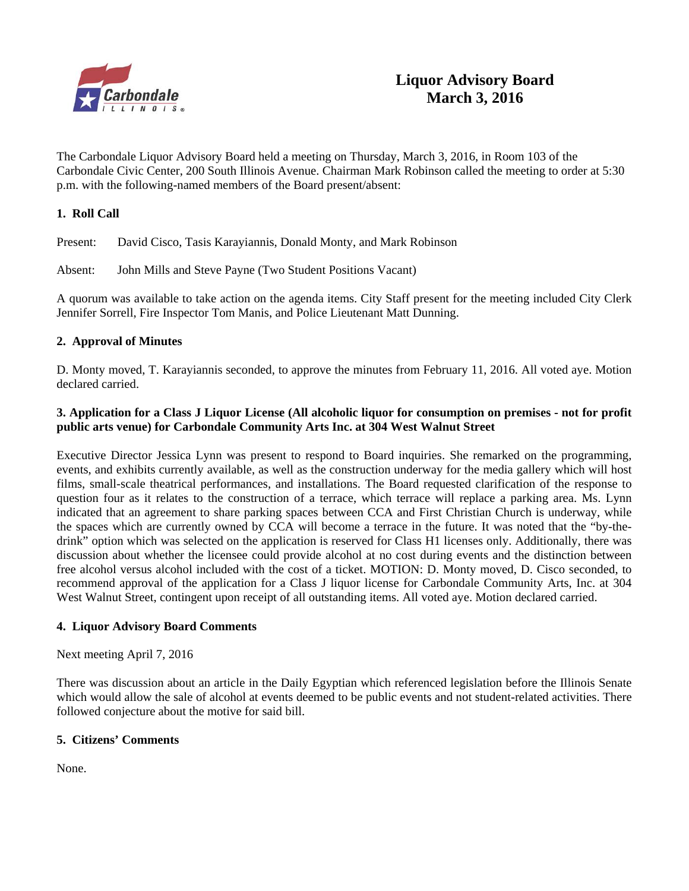

The Carbondale Liquor Advisory Board held a meeting on Thursday, March 3, 2016, in Room 103 of the Carbondale Civic Center, 200 South Illinois Avenue. Chairman Mark Robinson called the meeting to order at 5:30 p.m. with the following-named members of the Board present/absent:

### **1. Roll Call**

Present: David Cisco, Tasis Karayiannis, Donald Monty, and Mark Robinson

Absent: John Mills and Steve Payne (Two Student Positions Vacant)

A quorum was available to take action on the agenda items. City Staff present for the meeting included City Clerk Jennifer Sorrell, Fire Inspector Tom Manis, and Police Lieutenant Matt Dunning.

### **2. Approval of Minutes**

D. Monty moved, T. Karayiannis seconded, to approve the minutes from February 11, 2016. All voted aye. Motion declared carried.

### **3. Application for a Class J Liquor License (All alcoholic liquor for consumption on premises - not for profit public arts venue) for Carbondale Community Arts Inc. at 304 West Walnut Street**

Executive Director Jessica Lynn was present to respond to Board inquiries. She remarked on the programming, events, and exhibits currently available, as well as the construction underway for the media gallery which will host films, small-scale theatrical performances, and installations. The Board requested clarification of the response to question four as it relates to the construction of a terrace, which terrace will replace a parking area. Ms. Lynn indicated that an agreement to share parking spaces between CCA and First Christian Church is underway, while the spaces which are currently owned by CCA will become a terrace in the future. It was noted that the "by-thedrink" option which was selected on the application is reserved for Class H1 licenses only. Additionally, there was discussion about whether the licensee could provide alcohol at no cost during events and the distinction between free alcohol versus alcohol included with the cost of a ticket. MOTION: D. Monty moved, D. Cisco seconded, to recommend approval of the application for a Class J liquor license for Carbondale Community Arts, Inc. at 304 West Walnut Street, contingent upon receipt of all outstanding items. All voted aye. Motion declared carried.

#### **4. Liquor Advisory Board Comments**

#### Next meeting April 7, 2016

There was discussion about an article in the Daily Egyptian which referenced legislation before the Illinois Senate which would allow the sale of alcohol at events deemed to be public events and not student-related activities. There followed conjecture about the motive for said bill.

#### **5. Citizens' Comments**

None.